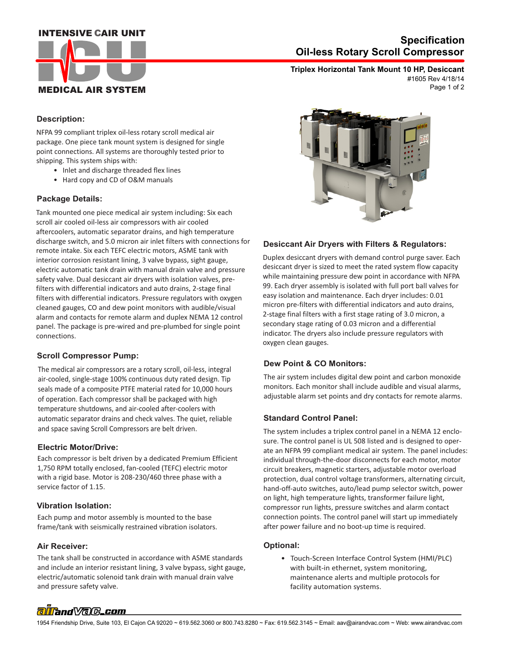# **INTENSIVE CAIR UNIT**



# **Oil-less Rotary Scroll Compressor Specification**

**Triplex Horizontal Tank Mount 10 HP, Desiccant** Page 1 of 2 #1605 Rev 4/18/14

## **Description:**

NFPA 99 compliant triplex oil-less rotary scroll medical air package. One piece tank mount system is designed for single point connections. All systems are thoroughly tested prior to shipping. This system ships with:

- Inlet and discharge threaded flex lines
- Hard copy and CD of O&M manuals

#### **Package Details:**

Tank mounted one piece medical air system including: Six each scroll air cooled oil-less air compressors with air cooled aftercoolers, automatic separator drains, and high temperature discharge switch, and 5.0 micron air inlet filters with connections for remote intake. Six each TEFC electric motors, ASME tank with interior corrosion resistant lining, 3 valve bypass, sight gauge, electric automatic tank drain with manual drain valve and pressure safety valve. Dual desiccant air dryers with isolation valves, prefilters with differential indicators and auto drains, 2-stage final filters with differential indicators. Pressure regulators with oxygen cleaned gauges, CO and dew point monitors with audible/visual alarm and contacts for remote alarm and duplex NEMA 12 control panel. The package is pre-wired and pre-plumbed for single point connections.

## **Scroll Compressor Pump:**

The medical air compressors are a rotary scroll, oil-less, integral air-cooled, single-stage 100% continuous duty rated design. Tip seals made of a composite PTFE material rated for 10,000 hours of operation. Each compressor shall be packaged with high temperature shutdowns, and air-cooled after-coolers with automatic separator drains and check valves. The quiet, reliable and space saving Scroll Compressors are belt driven.

#### **Electric Motor/Drive:**

Each compressor is belt driven by a dedicated Premium Efficient 1,750 RPM totally enclosed, fan-cooled (TEFC) electric motor with a rigid base. Motor is 208-230/460 three phase with a service factor of 1.15.

#### **Vibration Isolation:**

Each pump and motor assembly is mounted to the base frame/tank with seismically restrained vibration isolators.

#### **Air Receiver:**

 and pressure safety valve. The tank shall be constructed in accordance with ASME standards and include an interior resistant lining, 3 valve bypass, sight gauge, electric/automatic solenoid tank drain with manual drain valve



#### **Desiccant Air Dryers with Filters & Regulators:**

Duplex desiccant dryers with demand control purge saver. Each desiccant dryer is sized to meet the rated system flow capacity while maintaining pressure dew point in accordance with NFPA 99. Each dryer assembly is isolated with full port ball valves for easy isolation and maintenance. Each dryer includes: 0.01 micron pre-filters with differential indicators and auto drains, 2-stage final filters with a first stage rating of 3.0 micron, a secondary stage rating of 0.03 micron and a differential indicator. The dryers also include pressure regulators with oxygen clean gauges.

#### **Dew Point & CO Monitors:**

The air system includes digital dew point and carbon monoxide monitors. Each monitor shall include audible and visual alarms, adjustable alarm set points and dry contacts for remote alarms.

#### **Standard Control Panel:**

The system includes a triplex control panel in a NEMA 12 enclosure. The control panel is UL 508 listed and is designed to operate an NFPA 99 compliant medical air system. The panel includes: individual through-the-door disconnects for each motor, motor circuit breakers, magnetic starters, adjustable motor overload protection, dual control voltage transformers, alternating circuit, hand-off-auto switches, auto/lead pump selector switch, power on light, high temperature lights, transformer failure light, compressor run lights, pressure switches and alarm contact connection points. The control panel will start up immediately after power failure and no boot-up time is required.

#### **Optional:**

 • Touch-Screen Interface Control System (HMI/PLC) with built-in ethernet, system monitoring, maintenance alerts and multiple protocols for facility automation systems.

# alland Vale\_com

1954 Friendship Drive, Suite 103, El Cajon CA 92020 ~ 619.562.3060 or 800.743.8280 ~ Fax: 619.562.3145 ~ Email: aav@airandvac.com ~ Web: www.airandvac.com